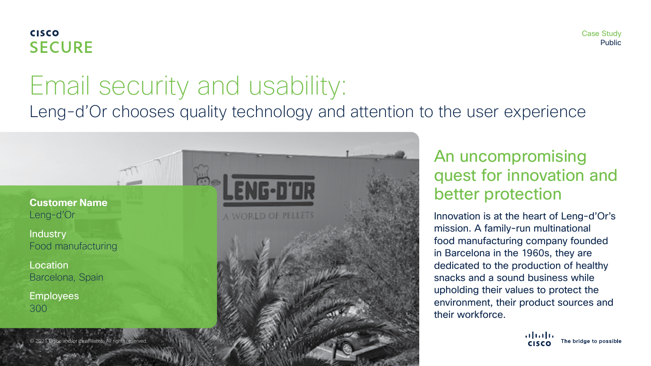### **CISCO SECURE**

# Email security and usability:

Leng-d'Or chooses quality technology and attention to the user experience



**Industry** Food manufacturing

Location Barcelona, Spain

**Employees** 300

and/or its affiliates. All rights reserved



Innovation is at the heart of Leng-d'Or's mission. A family-run multinational food manufacturing company founded in Barcelona in the 1960s, they are dedicated to the production of healthy snacks and a sound business while upholding their values to protect the environment, their product sources and their workforce.

> almlı The bridge to possible **CISCO**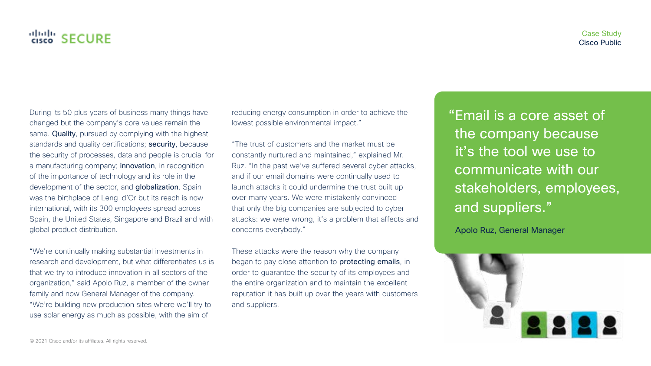During its 50 plus years of business many things have changed but the company's core values remain the same. Quality, pursued by complying with the highest standards and quality certifications; security, because the security of processes, data and people is crucial for a manufacturing company; innovation, in recognition of the importance of technology and its role in the development of the sector, and globalization. Spain was the birthplace of Leng-d'Or but its reach is now international, with its 300 employees spread across Spain, the United States, Singapore and Brazil and with global product distribution.

"We're continually making substantial investments in research and development, but what differentiates us is that we try to introduce innovation in all sectors of the organization," said Apolo Ruz, a member of the owner family and now General Manager of the company. "We're building new production sites where we'll try to use solar energy as much as possible, with the aim of

reducing energy consumption in order to achieve the lowest possible environmental impact."

"The trust of customers and the market must be constantly nurtured and maintained," explained Mr. Ruz. "In the past we've suffered several cyber attacks, and if our email domains were continually used to launch attacks it could undermine the trust built up over many years. We were mistakenly convinced that only the big companies are subjected to cyber attacks: we were wrong, it's a problem that affects and concerns everybody."

These attacks were the reason why the company began to pay close attention to protecting emails, in order to guarantee the security of its employees and the entire organization and to maintain the excellent reputation it has built up over the years with customers and suppliers.

"Email is a core asset of the company because it's the tool we use to communicate with our stakeholders, employees, and suppliers."

Apolo Ruz, General Manager

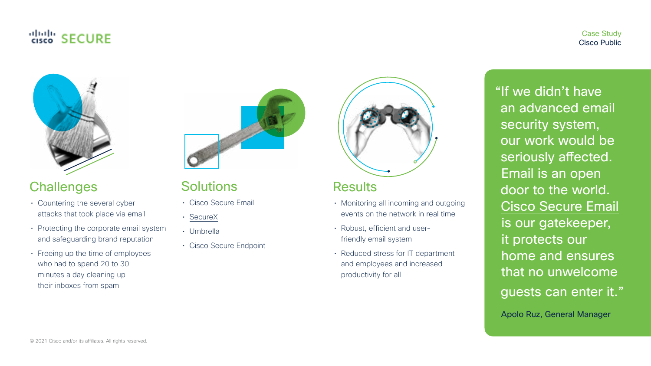### "<sub>cisco</sub>" SECURE

#### Case Study Cisco Public



### **Challenges**

- Countering the several cyber attacks that took place via email
- Protecting the corporate email system and safeguarding brand reputation
- Freeing up the time of employees who had to spend 20 to 30 minutes a day cleaning up their inboxes from spam



### **Solutions**

- Cisco Secure Email
- [SecureX](https://www.cisco.com/site/us/en/products/security/securex-platform/index.html)
- Umbrella
- Cisco Secure Endpoint



### **Results**

- Monitoring all incoming and outgoing events on the network in real time
- Robust, efficient and userfriendly email system
- Reduced stress for IT department and employees and increased productivity for all

"If we didn't have an advanced email security system, our work would be seriously affected. Email is an open door to the world. [Cisco Secure Email](http://www.cisco.com/go/emailsecurity)  is our gatekeeper, it protects our home and ensures that no unwelcome guests can enter it." Apolo Ruz, General Manager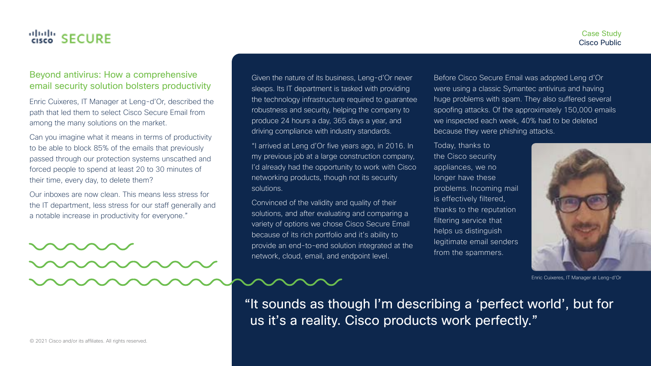#### Case Study Cisco Public

#### Beyond antivirus: How a comprehensive email security solution bolsters productivity

Enric Cuixeres, IT Manager at Leng-d'Or, described the path that led them to select Cisco Secure Email from among the many solutions on the market.

Can you imagine what it means in terms of productivity to be able to block 85% of the emails that previously passed through our protection systems unscathed and forced people to spend at least 20 to 30 minutes of their time, every day, to delete them?

Our inboxes are now clean. This means less stress for the IT department, less stress for our staff generally and a notable increase in productivity for everyone."

Given the nature of its business, Leng-d'Or never sleeps. Its IT department is tasked with providing the technology infrastructure required to guarantee robustness and security, helping the company to produce 24 hours a day, 365 days a year, and driving compliance with industry standards.

"I arrived at Leng d'Or five years ago, in 2016. In my previous job at a large construction company, I'd already had the opportunity to work with Cisco networking products, though not its security solutions.

Convinced of the validity and quality of their solutions, and after evaluating and comparing a variety of options we chose Cisco Secure Email because of its rich portfolio and it's ability to provide an end-to-end solution integrated at the network, cloud, email, and endpoint level.

Before Cisco Secure Email was adopted Leng d'Or were using a classic Symantec antivirus and having huge problems with spam. They also suffered several spoofing attacks. Of the approximately 150,000 emails we inspected each week, 40% had to be deleted because they were phishing attacks.

Today, thanks to the Cisco security appliances, we no longer have these problems. Incoming mail is effectively filtered, thanks to the reputation filtering service that helps us distinguish legitimate email senders from the spammers.



Enric Cuixeres, IT Manager at Leng-d'Or

"It sounds as though I'm describing a 'perfect world', but for us it's a reality. Cisco products work perfectly."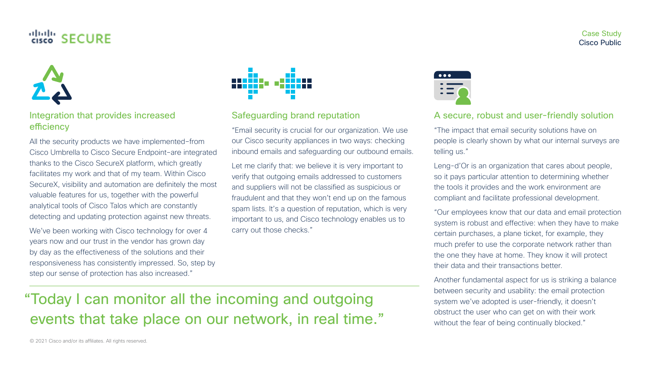

Integration that provides increased efficiency

All the security products we have implemented–from Cisco Umbrella to Cisco Secure Endpoint–are integrated thanks to the Cisco SecureX platform, which greatly facilitates my work and that of my team. Within Cisco SecureX, visibility and automation are definitely the most valuable features for us, together with the powerful analytical tools of Cisco Talos which are constantly detecting and updating protection against new threats.

We've been working with Cisco technology for over 4 years now and our trust in the vendor has grown day by day as the effectiveness of the solutions and their responsiveness has consistently impressed. So, step by step our sense of protection has also increased."



Safeguarding brand reputation

"Email security is crucial for our organization. We use our Cisco security appliances in two ways: checking inbound emails and safeguarding our outbound emails.

Let me clarify that: we believe it is very important to verify that outgoing emails addressed to customers and suppliers will not be classified as suspicious or fraudulent and that they won't end up on the famous spam lists. It's a question of reputation, which is very important to us, and Cisco technology enables us to carry out those checks."



#### A secure, robust and user-friendly solution

"The impact that email security solutions have on people is clearly shown by what our internal surveys are telling us."

Leng-d'Or is an organization that cares about people, so it pays particular attention to determining whether the tools it provides and the work environment are compliant and facilitate professional development.

"Our employees know that our data and email protection system is robust and effective: when they have to make certain purchases, a plane ticket, for example, they much prefer to use the corporate network rather than the one they have at home. They know it will protect their data and their transactions better.

Another fundamental aspect for us is striking a balance between security and usability: the email protection system we've adopted is user-friendly, it doesn't obstruct the user who can get on with their work without the fear of being continually blocked."

# "Today I can monitor all the incoming and outgoing events that take place on our network, in real time."